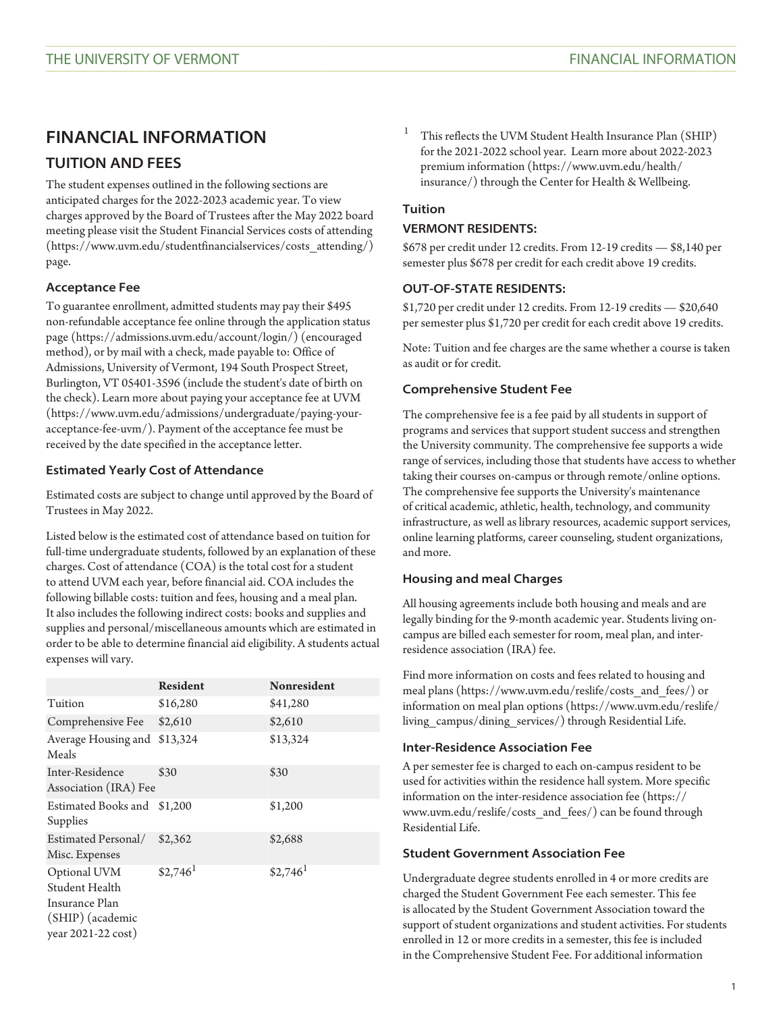# **FINANCIAL INFORMATION TUITION AND FEES**

The student expenses outlined in the following sections are anticipated charges for the 2022-2023 academic year. To view charges approved by the Board of Trustees after the May 2022 board meeting please visit the Student Financial Services [costs of attending](https://www.uvm.edu/studentfinancialservices/costs_attending/) [\(https://www.uvm.edu/studentfinancialservices/costs\\_attending/](https://www.uvm.edu/studentfinancialservices/costs_attending/)) page.

### **Acceptance Fee**

To guarantee enrollment, admitted students may pay their \$495 non-refundable acceptance fee online through the [application status](https://admissions.uvm.edu/account/login/) [page \(https://admissions.uvm.edu/account/login/](https://admissions.uvm.edu/account/login/)) (encouraged method), or by mail with a check, made payable to: Office of Admissions, University of Vermont, 194 South Prospect Street, Burlington, VT 05401-3596 (include the student's date of birth on the check). Learn more about [paying your acceptance fee at UVM](https://www.uvm.edu/admissions/undergraduate/paying-your-acceptance-fee-uvm/) [\(https://www.uvm.edu/admissions/undergraduate/paying-your](https://www.uvm.edu/admissions/undergraduate/paying-your-acceptance-fee-uvm/)[acceptance-fee-uvm/](https://www.uvm.edu/admissions/undergraduate/paying-your-acceptance-fee-uvm/)). Payment of the acceptance fee must be received by the date specified in the acceptance letter.

### **Estimated Yearly Cost of Attendance**

Estimated costs are subject to change until approved by the Board of Trustees in May 2022.

Listed below is the estimated cost of attendance based on tuition for full-time undergraduate students, followed by an explanation of these charges. Cost of attendance (COA) is the total cost for a student to attend UVM each year, before financial aid. COA includes the following billable costs: tuition and fees, housing and a meal plan. It also includes the following indirect costs: books and supplies and supplies and personal/miscellaneous amounts which are estimated in order to be able to determine financial aid eligibility. A students actual expenses will vary.

|                                                                                            | <b>Resident</b>       | Nonresident           |
|--------------------------------------------------------------------------------------------|-----------------------|-----------------------|
| Tuition                                                                                    | \$16,280              | \$41,280              |
| Comprehensive Fee                                                                          | \$2,610               | \$2,610               |
| Average Housing and<br>Meals                                                               | \$13,324              | \$13,324              |
| Inter-Residence<br>Association (IRA) Fee                                                   | \$30                  | \$30                  |
| Estimated Books and<br>Supplies                                                            | \$1,200               | \$1,200               |
| Estimated Personal/<br>Misc. Expenses                                                      | \$2,362               | \$2,688               |
| Optional UVM<br>Student Health<br>Insurance Plan<br>(SHIP) (academic<br>year 2021-22 cost) | $$2,746$ <sup>1</sup> | $$2,746$ <sup>1</sup> |

This reflects the UVM Student Health Insurance Plan (SHIP) for the 2021-2022 school year. Learn more about [2022-2023](https://www.uvm.edu/health/insurance/) [premium information](https://www.uvm.edu/health/insurance/) ([https://www.uvm.edu/health/](https://www.uvm.edu/health/insurance/) [insurance/\)](https://www.uvm.edu/health/insurance/) through the Center for Health & Wellbeing.

#### **Tuition**

#### **VERMONT RESIDENTS:**

\$678 per credit under 12 credits. From 12-19 credits — \$8,140 per semester plus \$678 per credit for each credit above 19 credits.

#### **OUT-OF-STATE RESIDENTS:**

\$1,720 per credit under 12 credits. From 12-19 credits — \$20,640 per semester plus \$1,720 per credit for each credit above 19 credits.

Note: Tuition and fee charges are the same whether a course is taken as audit or for credit.

#### **Comprehensive Student Fee**

The comprehensive fee is a fee paid by all students in support of programs and services that support student success and strengthen the University community. The comprehensive fee supports a wide range of services, including those that students have access to whether taking their courses on-campus or through remote/online options. The comprehensive fee supports the University's maintenance of critical academic, athletic, health, technology, and community infrastructure, as well as library resources, academic support services, online learning platforms, career counseling, student organizations, and more.

#### **Housing and meal Charges**

All housing agreements include both housing and meals and are legally binding for the 9-month academic year. Students living oncampus are billed each semester for room, meal plan, and interresidence association (IRA) fee.

Find more information on [costs and fees related to housing and](https://www.uvm.edu/reslife/costs_and_fees/) [meal plans](https://www.uvm.edu/reslife/costs_and_fees/) ([https://www.uvm.edu/reslife/costs\\_and\\_fees/](https://www.uvm.edu/reslife/costs_and_fees/)) or information on [meal plan options](https://www.uvm.edu/reslife/living_campus/dining_services/) [\(https://www.uvm.edu/reslife/](https://www.uvm.edu/reslife/living_campus/dining_services/) [living\\_campus/dining\\_services/](https://www.uvm.edu/reslife/living_campus/dining_services/)) through Residential Life.

#### **Inter-Residence Association Fee**

A per semester fee is charged to each on-campus resident to be used for activities within the residence hall system. More specific information on the [inter-residence association fee](https://www.uvm.edu/reslife/costs_and_fees/) [\(https://](https://www.uvm.edu/reslife/costs_and_fees/) [www.uvm.edu/reslife/costs\\_and\\_fees/](https://www.uvm.edu/reslife/costs_and_fees/)) can be found through Residential Life.

#### **Student Government Association Fee**

Undergraduate degree students enrolled in 4 or more credits are charged the Student Government Fee each semester. This fee is allocated by the Student Government Association toward the support of student organizations and student activities. For students enrolled in 12 or more credits in a semester, this fee is included in the Comprehensive Student Fee. For additional information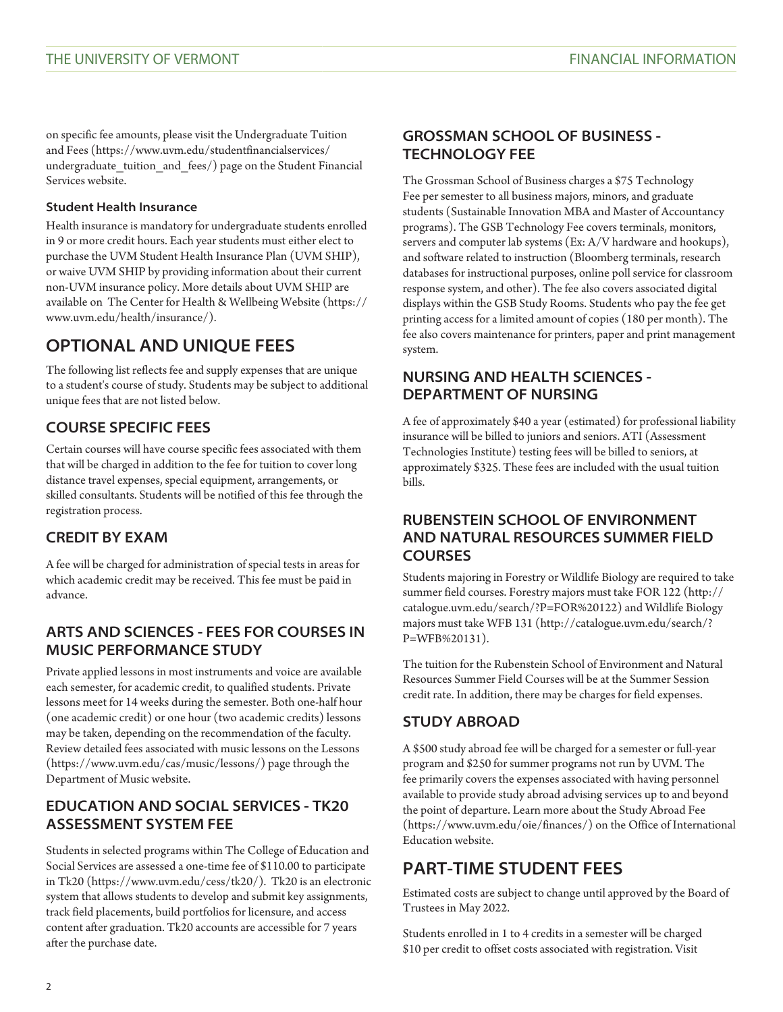on specific fee amounts, please visit the [Undergraduate Tuition](https://www.uvm.edu/studentfinancialservices/undergraduate_tuition_and_fees/) [and Fees](https://www.uvm.edu/studentfinancialservices/undergraduate_tuition_and_fees/) [\(https://www.uvm.edu/studentfinancialservices/](https://www.uvm.edu/studentfinancialservices/undergraduate_tuition_and_fees/) [undergraduate\\_tuition\\_and\\_fees/](https://www.uvm.edu/studentfinancialservices/undergraduate_tuition_and_fees/)) page on the Student Financial Services website.

#### **Student Health Insurance**

Health insurance is mandatory for undergraduate students enrolled in 9 or more credit hours. Each year students must either elect to purchase the UVM Student Health Insurance Plan (UVM SHIP), or waive UVM SHIP by providing information about their current non-UVM insurance policy. More details about UVM SHIP are available on  [The Center for Health & Wellbeing Website](https://www.uvm.edu/health/insurance/) [\(https://](https://www.uvm.edu/health/insurance/) [www.uvm.edu/health/insurance/](https://www.uvm.edu/health/insurance/)).

# **OPTIONAL AND UNIQUE FEES**

The following list reflects fee and supply expenses that are unique to a student's course of study. Students may be subject to additional unique fees that are not listed below.

## **COURSE SPECIFIC FEES**

Certain courses will have course specific fees associated with them that will be charged in addition to the fee for tuition to cover long distance travel expenses, special equipment, arrangements, or skilled consultants. Students will be notified of this fee through the registration process.

## **CREDIT BY EXAM**

A fee will be charged for administration of special tests in areas for which academic credit may be received. This fee must be paid in advance.

## **ARTS AND SCIENCES - FEES FOR COURSES IN MUSIC PERFORMANCE STUDY**

Private applied lessons in most instruments and voice are available each semester, for academic credit, to qualified students. Private lessons meet for 14 weeks during the semester. Both one-half hour (one academic credit) or one hour (two academic credits) lessons may be taken, depending on the recommendation of the faculty. Review detailed fees associated with music lessons on the [Lessons](https://www.uvm.edu/cas/music/lessons/) [\(https://www.uvm.edu/cas/music/lessons/\)](https://www.uvm.edu/cas/music/lessons/) page through the Department of Music website.

### **EDUCATION AND SOCIAL SERVICES - TK20 ASSESSMENT SYSTEM FEE**

Students in selected programs within The College of Education and Social Services are assessed a one-time fee of \$110.00 to participate in [Tk20](https://www.uvm.edu/cess/tk20/) (<https://www.uvm.edu/cess/tk20/>). Tk20 is an electronic system that allows students to develop and submit key assignments, track field placements, build portfolios for licensure, and access content after graduation. Tk20 accounts are accessible for 7 years after the purchase date.

### **GROSSMAN SCHOOL OF BUSINESS - TECHNOLOGY FEE**

The Grossman School of Business charges a \$75 Technology Fee per semester to all business majors, minors, and graduate students (Sustainable Innovation MBA and Master of Accountancy programs). The GSB Technology Fee covers terminals, monitors, servers and computer lab systems (Ex: A/V hardware and hookups), and software related to instruction (Bloomberg terminals, research databases for instructional purposes, online poll service for classroom response system, and other). The fee also covers associated digital displays within the GSB Study Rooms. Students who pay the fee get printing access for a limited amount of copies (180 per month). The fee also covers maintenance for printers, paper and print management system.

## **NURSING AND HEALTH SCIENCES - DEPARTMENT OF NURSING**

A fee of approximately \$40 a year (estimated) for professional liability insurance will be billed to juniors and seniors. ATI (Assessment Technologies Institute) testing fees will be billed to seniors, at approximately \$325. These fees are included with the usual tuition bills.

## **RUBENSTEIN SCHOOL OF ENVIRONMENT AND NATURAL RESOURCES SUMMER FIELD COURSES**

Students majoring in Forestry or Wildlife Biology are required to take summer field courses. Forestry majors must take [FOR 122](http://catalogue.uvm.edu/search/?P=FOR%20122) ([http://](http://catalogue.uvm.edu/search/?P=FOR%20122) [catalogue.uvm.edu/search/?P=FOR%20122\)](http://catalogue.uvm.edu/search/?P=FOR%20122) and Wildlife Biology majors must take [WFB 131](http://catalogue.uvm.edu/search/?P=WFB%20131) ([http://catalogue.uvm.edu/search/?](http://catalogue.uvm.edu/search/?P=WFB%20131) [P=WFB%20131\)](http://catalogue.uvm.edu/search/?P=WFB%20131).

The tuition for the Rubenstein School of Environment and Natural Resources Summer Field Courses will be at the Summer Session credit rate. In addition, there may be charges for field expenses.

## **STUDY ABROAD**

A \$500 study abroad fee will be charged for a semester or full-year program and \$250 for summer programs not run by UVM. The fee primarily covers the expenses associated with having personnel available to provide study abroad advising services up to and beyond the point of departure. Learn more about the [Study Abroad Fee](https://www.uvm.edu/oie/finances/) [\(https://www.uvm.edu/oie/finances/\)](https://www.uvm.edu/oie/finances/) on the Office of International Education website.

# **PART-TIME STUDENT FEES**

Estimated costs are subject to change until approved by the Board of Trustees in May 2022.

Students enrolled in 1 to 4 credits in a semester will be charged \$10 per credit to offset costs associated with registration. Visit